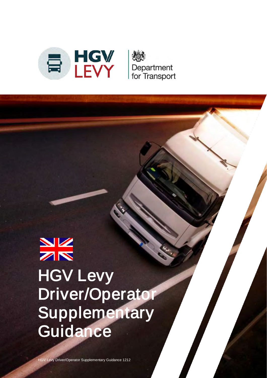

# $\frac{N}{Z}$ **HGV Levy** Driver/Operator **Supplementary Guidance**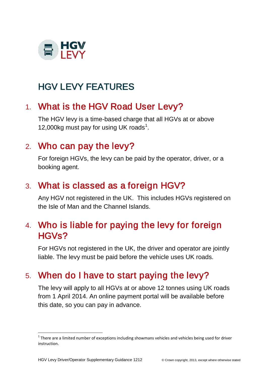

# HGV LEVY FEATURES

# 1. What is the HGV Road User Levy?

The HGV levy is a time-based charge that all HGVs at or above [1](#page-1-0)2,000kg must pay for using UK roads<sup>1</sup>.

# 2. Who can pay the levy?

For foreign HGVs, the levy can be paid by the operator, driver, or a booking agent.

#### 3. What is classed as a foreign HGV?

Any HGV not registered in the UK. This includes HGVs registered on the Isle of Man and the Channel Islands.

#### 4. Who is liable for paying the levy for foreign HGVs?

For HGVs not registered in the UK, the driver and operator are jointly liable. The levy must be paid before the vehicle uses UK roads.

# 5. When do I have to start paying the levy?

The levy will apply to all HGVs at or above 12 tonnes using UK roads from 1 April 2014. An online payment portal will be available before this date, so you can pay in advance.

 $\overline{a}$ 

<span id="page-1-0"></span> $1$  There are a limited number of exceptions including showmans vehicles and vehicles being used for driver instruction.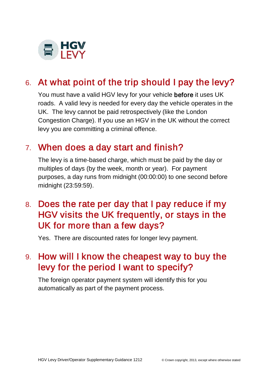

# 6. At what point of the trip should I pay the levy?

You must have a valid HGV levy for your vehicle before it uses UK roads. A valid levy is needed for every day the vehicle operates in the UK. The levy cannot be paid retrospectively (like the London Congestion Charge). If you use an HGV in the UK without the correct levy you are committing a criminal offence.

#### 7. When does a day start and finish?

The levy is a time-based charge, which must be paid by the day or multiples of days (by the week, month or year). For payment purposes, a day runs from midnight (00:00:00) to one second before midnight (23:59:59).

# 8. Does the rate per day that I pay reduce if my HGV visits the UK frequently, or stays in the UK for more than a few days?

Yes. There are discounted rates for longer levy payment.

# 9. How will I know the cheapest way to buy the levy for the period I want to specify?

The foreign operator payment system will identify this for you automatically as part of the payment process.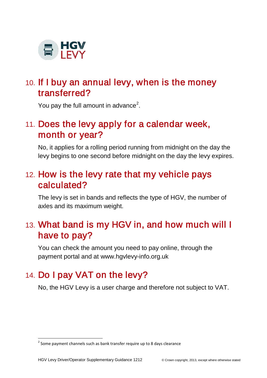

# 10. If I buy an annual levy, when is the money transferred?

You pay the full amount in advance<sup>[2](#page-3-0)</sup>.

# 11. Does the levy apply for a calendar week, month or year?

No, it applies for a rolling period running from midnight on the day the levy begins to one second before midnight on the day the levy expires.

# 12. How is the levy rate that my vehicle pays calculated?

The levy is set in bands and reflects the type of HGV, the number of axles and its maximum weight.

# 13. What band is my HGV in, and how much will I have to pay?

You can check the amount you need to pay online, through the payment portal and at [www.hgvlevy-info.org.uk](http://www.hgvlevy-info.org.uk/) 

# 14. Do I pay VAT on the levy?

No, the HGV Levy is a user charge and therefore not subject to VAT.

 $\overline{a}$ 

<span id="page-3-0"></span> $2$  Some payment channels such as bank transfer require up to 8 days clearance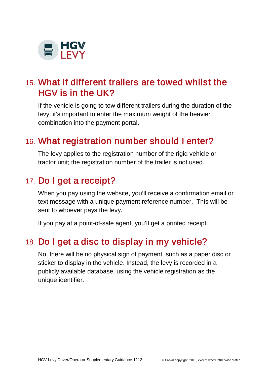

# 15. What if different trailers are towed whilst the HGV is in the UK?

If the vehicle is going to tow different trailers during the duration of the levy, it's important to enter the maximum weight of the heavier combination into the payment portal.

#### 16. What registration number should I enter?

The levy applies to the registration number of the rigid vehicle or tractor unit; the registration number of the trailer is not used.

#### 17. Do I get a receipt?

When you pay using the website, you'll receive a confirmation email or text message with a unique payment reference number. This will be sent to whoever pays the levy.

If you pay at a point-of-sale agent, you'll get a printed receipt.

#### 18. Do I get a disc to display in my vehicle?

No, there will be no physical sign of payment, such as a paper disc or sticker to display in the vehicle. Instead, the levy is recorded in a publicly available database, using the vehicle registration as the unique identifier.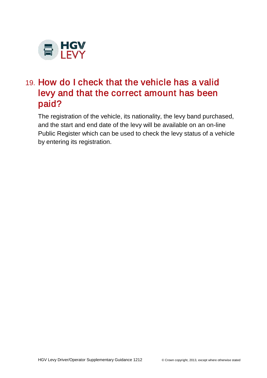

# 19. How do I check that the vehicle has a valid levy and that the correct amount has been paid?

The registration of the vehicle, its nationality, the levy band purchased, and the start and end date of the levy will be available on an on-line Public Register which can be used to check the levy status of a vehicle by entering its registration.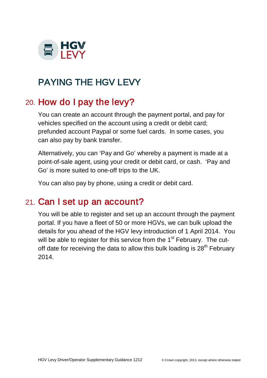

# PAYING THE HGV LEVY

# 20. How do I pay the levy?

You can create an account through the payment portal, and pay for vehicles specified on the account using a credit or debit card; prefunded account Paypal or some fuel cards. In some cases, you can also pay by bank transfer.

Alternatively, you can 'Pay and Go' whereby a payment is made at a point-of-sale agent, using your credit or debit card, or cash. 'Pay and Go' is more suited to one-off trips to the UK.

You can also pay by phone, using a credit or debit card.

#### 21. Can I set up an account?

You will be able to register and set up an account through the payment portal. If you have a fleet of 50 or more HGVs, we can bulk upload the details for you ahead of the HGV levy introduction of 1 April 2014. You will be able to register for this service from the 1<sup>st</sup> February. The cutoff date for receiving the data to allow this bulk loading is  $28<sup>th</sup>$  February 2014.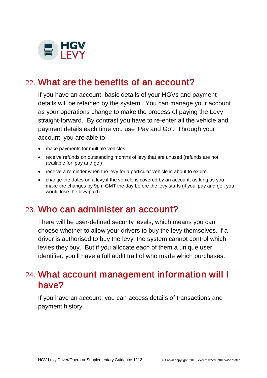

# 22. What are the benefits of an account?

If you have an account, basic details of your HGVs and payment details will be retained by the system. You can manage your account as your operations change to make the process of paying the Levy straight-forward. By contrast you have to re-enter all the vehicle and payment details each time you use 'Pay and Go'. Through your account, you are able to:

- make payments for multiple vehicles
- receive refunds on outstanding months of levy that are unused (refunds are not available for 'pay and go')
- receive a reminder when the levy for a particular vehicle is about to expire.
- change the dates on a levy if the vehicle is covered by an account, as long as you make the changes by 9pm GMT the day before the levy starts (if you 'pay and go', you would lose the levy paid).

#### 23. Who can administer an account?

There will be user-defined security levels, which means you can choose whether to allow your drivers to buy the levy themselves. If a driver is authorised to buy the levy, the system cannot control which levies they buy. But if you allocate each of them a unique user identifier, you'll have a full audit trail of who made which purchases.

#### 24. What account management information will I have?

If you have an account, you can access details of transactions and payment history.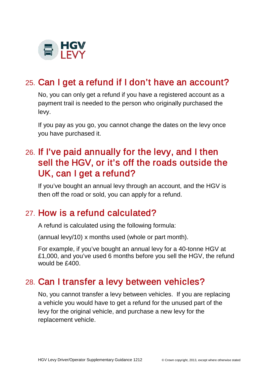

# 25. Can I get a refund if I don't have an account?

No, you can only get a refund if you have a registered account as a payment trail is needed to the person who originally purchased the levy.

If you pay as you go, you cannot change the dates on the levy once you have purchased it.

# 26. If I've paid annually for the levy, and I then sell the HGV, or it's off the roads outside the UK, can I get a refund?

If you've bought an annual levy through an account, and the HGV is then off the road or sold, you can apply for a refund.

#### 27. How is a refund calculated?

A refund is calculated using the following formula:

(annual levy/10) x months used (whole or part month).

For example, if you've bought an annual levy for a 40-tonne HGV at £1,000, and you've used 6 months before you sell the HGV, the refund would be £400.

#### 28. Can I transfer a levy between vehicles?

No, you cannot transfer a levy between vehicles. If you are replacing a vehicle you would have to get a refund for the unused part of the levy for the original vehicle, and purchase a new levy for the replacement vehicle.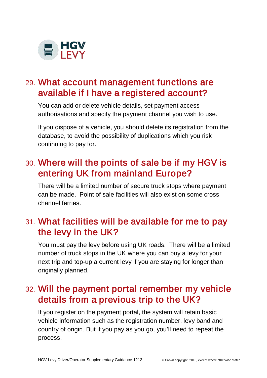

# 29. What account management functions are available if I have a registered account?

You can add or delete vehicle details, set payment access authorisations and specify the payment channel you wish to use.

If you dispose of a vehicle, you should delete its registration from the database, to avoid the possibility of duplications which you risk continuing to pay for.

# 30. Where will the points of sale be if my HGV is entering UK from mainland Europe?

There will be a limited number of secure truck stops where payment can be made. Point of sale facilities will also exist on some cross channel ferries.

# 31. What facilities will be available for me to pay the levy in the UK?

You must pay the levy before using UK roads. There will be a limited number of truck stops in the UK where you can buy a levy for your next trip and top-up a current levy if you are staying for longer than originally planned.

# 32. Will the payment portal remember my vehicle details from a previous trip to the UK?

If you register on the payment portal, the system will retain basic vehicle information such as the registration number, levy band and country of origin. But if you pay as you go, you'll need to repeat the process.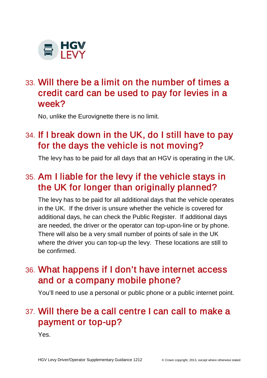

# 33. Will there be a limit on the number of times a credit card can be used to pay for levies in a week?

No, unlike the Eurovignette there is no limit.

# 34. If I break down in the UK, do I still have to pay for the days the vehicle is not moving?

The levy has to be paid for all days that an HGV is operating in the UK.

# 35. Am I liable for the levy if the vehicle stays in the UK for longer than originally planned?

The levy has to be paid for all additional days that the vehicle operates in the UK. If the driver is unsure whether the vehicle is covered for additional days, he can check the Public Register. If additional days are needed, the driver or the operator can top-upon-line or by phone. There will also be a very small number of points of sale in the UK where the driver you can top-up the levy. These locations are still to be confirmed.

# 36. What happens if I don't have internet access and or a company mobile phone?

You'll need to use a personal or public phone or a public internet point.

# 37. Will there be a call centre I can call to make a payment or top-up?

Yes.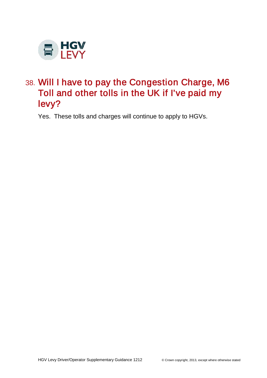

# 38. Will I have to pay the Congestion Charge, M6 Toll and other tolls in the UK if I've paid my levy?

Yes. These tolls and charges will continue to apply to HGVs.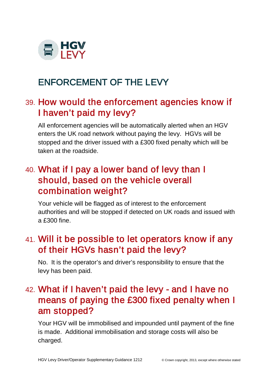

# ENFORCEMENT OF THE LEVY

# 39. How would the enforcement agencies know if I haven't paid my levy?

All enforcement agencies will be automatically alerted when an HGV enters the UK road network without paying the levy. HGVs will be stopped and the driver issued with a £300 fixed penalty which will be taken at the roadside.

# 40. What if I pay a lower band of levy than I should, based on the vehicle overall combination weight?

Your vehicle will be flagged as of interest to the enforcement authorities and will be stopped if detected on UK roads and issued with a £300 fine.

#### 41. Will it be possible to let operators know if any of their HGVs hasn't paid the levy?

No. It is the operator's and driver's responsibility to ensure that the levy has been paid.

# 42. What if I haven't paid the levy - and I have no means of paying the £300 fixed penalty when I am stopped?

Your HGV will be immobilised and impounded until payment of the fine is made. Additional immobilisation and storage costs will also be charged.